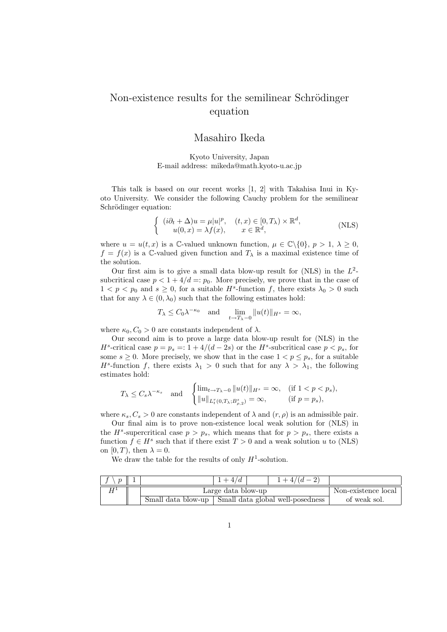## Non-existence results for the semilinear Schrödinger equation

## Masahiro Ikeda

Kyoto University, Japan E-mail address: mikeda@math.kyoto-u.ac.jp

This talk is based on our recent works [1, 2] with Takahisa Inui in Kyoto University. We consider the following Cauchy problem for the semilinear Schrödinger equation:

$$
\begin{cases}\n(i\partial_t + \Delta)u = \mu |u|^p, & (t, x) \in [0, T_\lambda) \times \mathbb{R}^d, \\
u(0, x) = \lambda f(x), & x \in \mathbb{R}^d,\n\end{cases}
$$
\n(NLS)

where  $u = u(t, x)$  is a C-valued unknown function,  $\mu \in \mathbb{C} \setminus \{0\}, p > 1, \lambda \geq 0$ ,  $f = f(x)$  is a C-valued given function and  $T<sub>\lambda</sub>$  is a maximal existence time of the solution.

Our first aim is to give a small data blow-up result for  $(NLS)$  in the  $L^2$ subcritical case  $p < 1 + 4/d = p_0$ . More precisely, we prove that in the case of  $1 < p < p_0$  and  $s \geq 0$ , for a suitable  $H^s$ -function f, there exists  $\lambda_0 > 0$  such that for any  $\lambda \in (0, \lambda_0)$  such that the following estimates hold:

$$
T_{\lambda} \leq C_0 \lambda^{-\kappa_0}
$$
 and  $\lim_{t \to T_{\lambda} - 0} ||u(t)||_{H^s} = \infty$ ,

where  $\kappa_0$ ,  $C_0 > 0$  are constants independent of  $\lambda$ .

Our second aim is to prove a large data blow-up result for (NLS) in the *H*<sup>*s*</sup>-critical case  $p = p_s = 1 + 4/(d - 2s)$  or the *H*<sup>*s*</sup>-subcritical case  $p < p_s$ , for some  $s \geq 0$ . More precisely, we show that in the case  $1 < p \leq p_s$ , for a suitable *H*<sup>*s*</sup>-function *f*, there exists  $\lambda_1 > 0$  such that for any  $\lambda > \lambda_1$ , the following estimates hold:

$$
T_{\lambda} \leq C_s \lambda^{-\kappa_s} \quad \text{and} \quad \begin{cases} \lim_{t \to T_{\lambda} - 0} \|u(t)\|_{H^s} = \infty, & (\text{if } 1 < p < p_s), \\ \|u\|_{L_t^r(0,T_{\lambda}; B^s_{\rho,2})} = \infty, & (\text{if } p = p_s), \end{cases}
$$

where  $\kappa_s, C_s > 0$  are constants independent of  $\lambda$  and  $(r, \rho)$  is an admissible pair.

Our final aim is to prove non-existence local weak solution for (NLS) in the  $H^s$ -supercritical case  $p > p_s$ , which means that for  $p > p_s$ , there exists a function  $f \in H^s$  such that if there exist  $T > 0$  and a weak solution *u* to (NLS) on  $[0, T)$ , then  $\lambda = 0$ .

We draw the table for the results of only  $H^1$ -solution.

| $\boldsymbol{\eta}$ |                                                       | $+4/a$ | $1 + 4/(d - 2)$ |                     |
|---------------------|-------------------------------------------------------|--------|-----------------|---------------------|
|                     | Large data blow-up                                    |        |                 | Non-existence local |
|                     | Small data blow-up   Small data global well-posedness |        |                 | of weak sol.        |